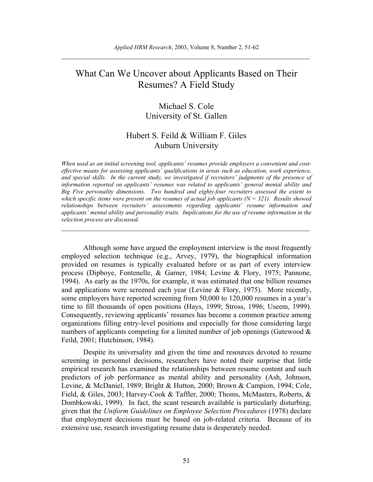# What Can We Uncover about Applicants Based on Their Resumes? A Field Study

# Michael S. Cole University of St. Gallen

# Hubert S. Feild & William F. Giles Auburn University

*When used as an initial screening tool, applicants' resumes provide employers a convenient and costeffective means for assessing applicants' qualifications in areas such as education, work experience, and special skills. In the current study, we investigated if recruiters' judgments of the presence of information reported on applicants' resumes was related to applicants' general mental ability and Big Five personality dimensions. Two hundred and eighty-four recruiters assessed the extent to which specific items were present on the resumes of actual job applicants*  $(N = 321)$ *. Results showed relationships between recruiters' assessments regarding applicants' resume information and applicants' mental ability and personality traits. Implications for the use of resume information in the selection process are discussed.* 

 $\_$  , and the set of the set of the set of the set of the set of the set of the set of the set of the set of the set of the set of the set of the set of the set of the set of the set of the set of the set of the set of th

Although some have argued the employment interview is the most frequently employed selection technique (e.g., Arvey, 1979), the biographical information provided on resumes is typically evaluated before or as part of every interview process (Dipboye, Fontenelle, & Garner, 1984; Levine & Flory, 1975; Pannone, 1994). As early as the 1970s, for example, it was estimated that one billion resumes and applications were screened each year (Levine & Flory, 1975). More recently, some employers have reported screening from 50,000 to 120,000 resumes in a year's time to fill thousands of open positions (Hays, 1999; Stross, 1996; Useem, 1999). Consequently, reviewing applicants' resumes has become a common practice among organizations filling entry-level positions and especially for those considering large numbers of applicants competing for a limited number of job openings (Gatewood  $\&$ Feild, 2001; Hutchinson, 1984).

Despite its universality and given the time and resources devoted to resume screening in personnel decisions, researchers have noted their surprise that little empirical research has examined the relationships between resume content and such predictors of job performance as mental ability and personality (Ash, Johnson, Levine, & McDaniel, 1989; Bright & Hutton, 2000; Brown & Campion, 1994; Cole, Field, & Giles, 2003; Harvey-Cook & Taffler, 2000; Thoms, McMasters, Roberts, & Dombkowski, 1999). In fact, the scant research available is particularly disturbing, given that the *Uniform Guidelines on Employee Selection Procedures* (1978) declare that employment decisions must be based on job-related criteria. Because of its extensive use, research investigating resume data is desperately needed.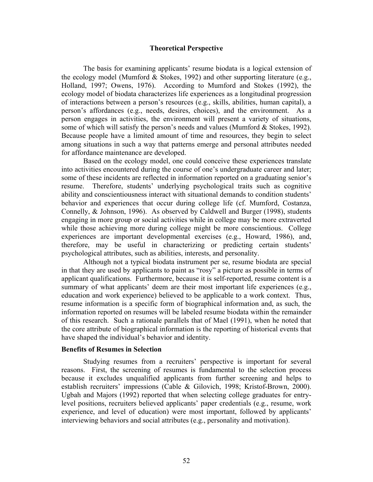#### **Theoretical Perspective**

The basis for examining applicants' resume biodata is a logical extension of the ecology model (Mumford & Stokes, 1992) and other supporting literature (e.g., Holland, 1997; Owens, 1976). According to Mumford and Stokes (1992), the ecology model of biodata characterizes life experiences as a longitudinal progression of interactions between a person's resources (e.g., skills, abilities, human capital), a person's affordances (e.g., needs, desires, choices), and the environment. As a person engages in activities, the environment will present a variety of situations, some of which will satisfy the person's needs and values (Mumford & Stokes, 1992). Because people have a limited amount of time and resources, they begin to select among situations in such a way that patterns emerge and personal attributes needed for affordance maintenance are developed.

Based on the ecology model, one could conceive these experiences translate into activities encountered during the course of one's undergraduate career and later; some of these incidents are reflected in information reported on a graduating senior's resume. Therefore, students' underlying psychological traits such as cognitive ability and conscientiousness interact with situational demands to condition students' behavior and experiences that occur during college life (cf. Mumford, Costanza, Connelly, & Johnson, 1996). As observed by Caldwell and Burger (1998), students engaging in more group or social activities while in college may be more extraverted while those achieving more during college might be more conscientious. College experiences are important developmental exercises (e.g., Howard, 1986), and, therefore, may be useful in characterizing or predicting certain students' psychological attributes, such as abilities, interests, and personality.

Although not a typical biodata instrument per se, resume biodata are special in that they are used by applicants to paint as "rosy" a picture as possible in terms of applicant qualifications. Furthermore, because it is self-reported, resume content is a summary of what applicants' deem are their most important life experiences (e.g., education and work experience) believed to be applicable to a work context. Thus, resume information is a specific form of biographical information and, as such, the information reported on resumes will be labeled resume biodata within the remainder of this research. Such a rationale parallels that of Mael (1991), when he noted that the core attribute of biographical information is the reporting of historical events that have shaped the individual's behavior and identity.

#### **Benefits of Resumes in Selection**

 Studying resumes from a recruiters' perspective is important for several reasons. First, the screening of resumes is fundamental to the selection process because it excludes unqualified applicants from further screening and helps to establish recruiters' impressions (Cable & Gilovich, 1998; Kristof-Brown, 2000). Ugbah and Majors (1992) reported that when selecting college graduates for entrylevel positions, recruiters believed applicants' paper credentials (e.g., resume, work experience, and level of education) were most important, followed by applicants' interviewing behaviors and social attributes (e.g., personality and motivation).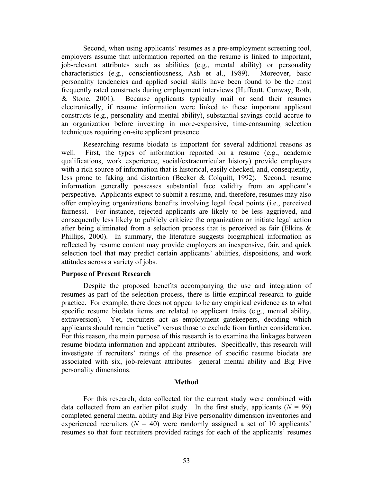Second, when using applicants' resumes as a pre-employment screening tool, employers assume that information reported on the resume is linked to important, job-relevant attributes such as abilities (e.g., mental ability) or personality characteristics (e.g., conscientiousness, Ash et al., 1989). Moreover, basic personality tendencies and applied social skills have been found to be the most frequently rated constructs during employment interviews (Huffcutt, Conway, Roth, & Stone, 2001). Because applicants typically mail or send their resumes electronically, if resume information were linked to these important applicant constructs (e.g., personality and mental ability), substantial savings could accrue to an organization before investing in more-expensive, time-consuming selection techniques requiring on-site applicant presence.

Researching resume biodata is important for several additional reasons as well. First, the types of information reported on a resume (e.g., academic qualifications, work experience, social/extracurricular history) provide employers with a rich source of information that is historical, easily checked, and, consequently, less prone to faking and distortion (Becker & Colquitt, 1992). Second, resume information generally possesses substantial face validity from an applicant's perspective. Applicants expect to submit a resume, and, therefore, resumes may also offer employing organizations benefits involving legal focal points (i.e., perceived fairness). For instance, rejected applicants are likely to be less aggrieved, and consequently less likely to publicly criticize the organization or initiate legal action after being eliminated from a selection process that is perceived as fair (Elkins & Phillips, 2000). In summary, the literature suggests biographical information as reflected by resume content may provide employers an inexpensive, fair, and quick selection tool that may predict certain applicants' abilities, dispositions, and work attitudes across a variety of jobs.

#### **Purpose of Present Research**

 Despite the proposed benefits accompanying the use and integration of resumes as part of the selection process, there is little empirical research to guide practice. For example, there does not appear to be any empirical evidence as to what specific resume biodata items are related to applicant traits (e.g., mental ability, extraversion). Yet, recruiters act as employment gatekeepers, deciding which applicants should remain "active" versus those to exclude from further consideration. For this reason, the main purpose of this research is to examine the linkages between resume biodata information and applicant attributes. Specifically, this research will investigate if recruiters' ratings of the presence of specific resume biodata are associated with six, job-relevant attributes—general mental ability and Big Five personality dimensions.

### **Method**

 For this research, data collected for the current study were combined with data collected from an earlier pilot study. In the first study, applicants  $(N = 99)$ completed general mental ability and Big Five personality dimension inventories and experienced recruiters  $(N = 40)$  were randomly assigned a set of 10 applicants' resumes so that four recruiters provided ratings for each of the applicants' resumes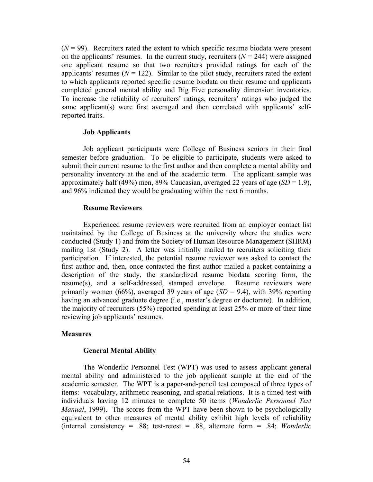$(N = 99)$ . Recruiters rated the extent to which specific resume biodata were present on the applicants' resumes. In the current study, recruiters  $(N = 244)$  were assigned one applicant resume so that two recruiters provided ratings for each of the applicants' resumes  $(N = 122)$ . Similar to the pilot study, recruiters rated the extent to which applicants reported specific resume biodata on their resume and applicants completed general mental ability and Big Five personality dimension inventories. To increase the reliability of recruiters' ratings, recruiters' ratings who judged the same applicant(s) were first averaged and then correlated with applicants' selfreported traits.

### **Job Applicants**

Job applicant participants were College of Business seniors in their final semester before graduation. To be eligible to participate, students were asked to submit their current resume to the first author and then complete a mental ability and personality inventory at the end of the academic term. The applicant sample was approximately half (49%) men, 89% Caucasian, averaged 22 years of age (*SD* = 1.9), and 96% indicated they would be graduating within the next 6 months.

#### **Resume Reviewers**

Experienced resume reviewers were recruited from an employer contact list maintained by the College of Business at the university where the studies were conducted (Study 1) and from the Society of Human Resource Management (SHRM) mailing list (Study 2). A letter was initially mailed to recruiters soliciting their participation. If interested, the potential resume reviewer was asked to contact the first author and, then, once contacted the first author mailed a packet containing a description of the study, the standardized resume biodata scoring form, the resume(s), and a self-addressed, stamped envelope. Resume reviewers were primarily women (66%), averaged 39 years of age  $(SD = 9.4)$ , with 39% reporting having an advanced graduate degree (i.e., master's degree or doctorate). In addition, the majority of recruiters (55%) reported spending at least 25% or more of their time reviewing job applicants' resumes.

### **Measures**

### **General Mental Ability**

The Wonderlic Personnel Test (WPT) was used to assess applicant general mental ability and administered to the job applicant sample at the end of the academic semester. The WPT is a paper-and-pencil test composed of three types of items: vocabulary, arithmetic reasoning, and spatial relations. It is a timed-test with individuals having 12 minutes to complete 50 items (*Wonderlic Personnel Test Manual*, 1999). The scores from the WPT have been shown to be psychologically equivalent to other measures of mental ability exhibit high levels of reliability (internal consistency = .88; test-retest = .88, alternate form = .84; *Wonderlic*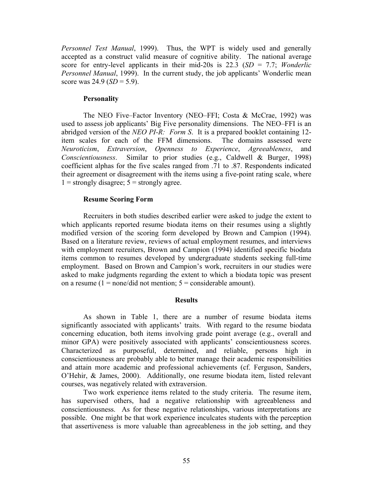*Personnel Test Manual*, 1999). Thus, the WPT is widely used and generally accepted as a construct valid measure of cognitive ability. The national average score for entry-level applicants in their mid-20s is 22.3 (*SD* = 7.7; *Wonderlic Personnel Manual*, 1999). In the current study, the job applicants' Wonderlic mean score was 24.9 (*SD* = 5.9).

### **Personality**

The NEO Five–Factor Inventory (NEO–FFI; Costa & McCrae, 1992) was used to assess job applicants' Big Five personality dimensions. The NEO–FFI is an abridged version of the *NEO PI-R: Form S*. It is a prepared booklet containing 12 item scales for each of the FFM dimensions. The domains assessed were *Neuroticism*, *Extraversion*, *Openness to Experience*, *Agreeableness*, and *Conscientiousness*. Similar to prior studies (e.g., Caldwell & Burger, 1998) coefficient alphas for the five scales ranged from .71 to .87. Respondents indicated their agreement or disagreement with the items using a five-point rating scale, where  $1 =$  strongly disagree;  $5 =$  strongly agree.

## **Resume Scoring Form**

Recruiters in both studies described earlier were asked to judge the extent to which applicants reported resume biodata items on their resumes using a slightly modified version of the scoring form developed by Brown and Campion (1994). Based on a literature review, reviews of actual employment resumes, and interviews with employment recruiters, Brown and Campion (1994) identified specific biodata items common to resumes developed by undergraduate students seeking full-time employment. Based on Brown and Campion's work, recruiters in our studies were asked to make judgments regarding the extent to which a biodata topic was present on a resume  $(1 = none/did not mention; 5 = considerable amount).$ 

### **Results**

As shown in Table 1, there are a number of resume biodata items significantly associated with applicants' traits. With regard to the resume biodata concerning education, both items involving grade point average (e.g., overall and minor GPA) were positively associated with applicants' conscientiousness scores. Characterized as purposeful, determined, and reliable, persons high in conscientiousness are probably able to better manage their academic responsibilities and attain more academic and professional achievements (cf. Ferguson, Sanders, O'Hehir, & James, 2000). Additionally, one resume biodata item, listed relevant courses, was negatively related with extraversion.

Two work experience items related to the study criteria. The resume item, has supervised others, had a negative relationship with agreeableness and conscientiousness. As for these negative relationships, various interpretations are possible. One might be that work experience inculcates students with the perception that assertiveness is more valuable than agreeableness in the job setting, and they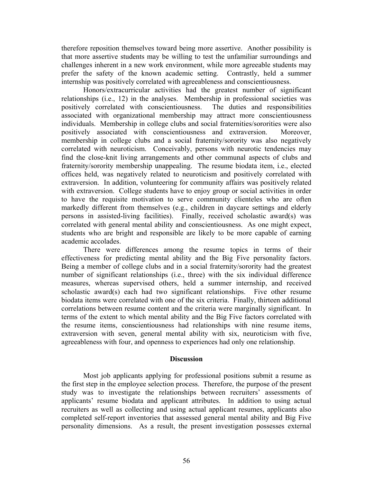therefore reposition themselves toward being more assertive. Another possibility is that more assertive students may be willing to test the unfamiliar surroundings and challenges inherent in a new work environment, while more agreeable students may prefer the safety of the known academic setting. Contrastly, held a summer internship was positively correlated with agreeableness and conscientiousness.

Honors/extracurricular activities had the greatest number of significant relationships (i.e., 12) in the analyses. Membership in professional societies was positively correlated with conscientiousness. The duties and responsibilities associated with organizational membership may attract more conscientiousness individuals. Membership in college clubs and social fraternities/sororities were also positively associated with conscientiousness and extraversion. Moreover, membership in college clubs and a social fraternity/sorority was also negatively correlated with neuroticism. Conceivably, persons with neurotic tendencies may find the close-knit living arrangements and other communal aspects of clubs and fraternity/sorority membership unappealing. The resume biodata item, i.e., elected offices held, was negatively related to neuroticism and positively correlated with extraversion. In addition, volunteering for community affairs was positively related with extraversion. College students have to enjoy group or social activities in order to have the requisite motivation to serve community clienteles who are often markedly different from themselves (e.g., children in daycare settings and elderly persons in assisted-living facilities). Finally, received scholastic award(s) was correlated with general mental ability and conscientiousness. As one might expect, students who are bright and responsible are likely to be more capable of earning academic accolades.

There were differences among the resume topics in terms of their effectiveness for predicting mental ability and the Big Five personality factors. Being a member of college clubs and in a social fraternity/sorority had the greatest number of significant relationships (i.e., three) with the six individual difference measures, whereas supervised others, held a summer internship, and received scholastic award(s) each had two significant relationships. Five other resume biodata items were correlated with one of the six criteria. Finally, thirteen additional correlations between resume content and the criteria were marginally significant. In terms of the extent to which mental ability and the Big Five factors correlated with the resume items, conscientiousness had relationships with nine resume items, extraversion with seven, general mental ability with six, neuroticism with five, agreeableness with four, and openness to experiences had only one relationship.

### **Discussion**

Most job applicants applying for professional positions submit a resume as the first step in the employee selection process. Therefore, the purpose of the present study was to investigate the relationships between recruiters' assessments of applicants' resume biodata and applicant attributes. In addition to using actual recruiters as well as collecting and using actual applicant resumes, applicants also completed self-report inventories that assessed general mental ability and Big Five personality dimensions. As a result, the present investigation possesses external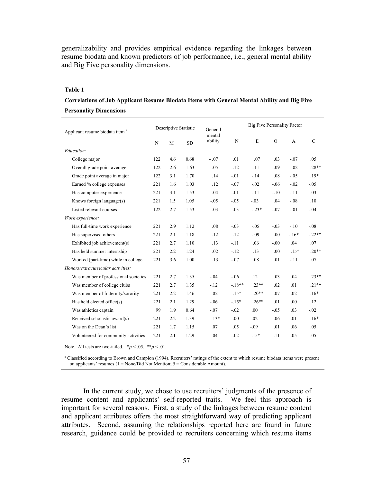generalizability and provides empirical evidence regarding the linkages between resume biodata and known predictors of job performance, i.e., general mental ability and Big Five personality dimensions.

#### **Table 1**

# **Correlations of Job Applicant Resume Biodata Items with General Mental Ability and Big Five Personality Dimensions**

| Applicant resume biodata item <sup>a</sup> | Descriptive Statistic |     |           | General           | Big Five Personality Factor |                  |                  |        |               |
|--------------------------------------------|-----------------------|-----|-----------|-------------------|-----------------------------|------------------|------------------|--------|---------------|
|                                            | N                     | M   | <b>SD</b> | mental<br>ability | ${\bf N}$                   | E                | $\overline{O}$   | A      | $\mathcal{C}$ |
| Education:                                 |                       |     |           |                   |                             |                  |                  |        |               |
| College major                              | 122                   | 4.6 | 0.68      | $-.07$            | .01                         | .07              | .03              | $-.07$ | .05           |
| Overall grade point average                | 122                   | 2.6 | 1.63      | .05               | $-12$                       | $-.11$           | $-.09$           | $-.02$ | $.28**$       |
| Grade point average in major               | 122                   | 3.1 | 1.70      | .14               | $-.01$                      | $-14$            | .08              | $-.05$ | $.19*$        |
| Earned % college expenses                  | 221                   | 1.6 | 1.03      | .12               | $-.07$                      | $-.02$           | $-.06$           | $-.02$ | $-.05$        |
| Has computer experience                    | 221                   | 3.1 | 1.53      | .04               | $-.01$                      | $-11$            | $-10$            | $-.11$ | .03           |
| Knows foreign language(s)                  | 221                   | 1.5 | 1.05      | $-.05$            | $-.05$                      | $-.03$           | .04              | $-.08$ | .10           |
| Listed relevant courses                    | 122                   | 2.7 | 1.53      | .03               | .03                         | $-.23*$          | $-.07$           | $-.01$ | $-.04$        |
| Work experience:                           |                       |     |           |                   |                             |                  |                  |        |               |
| Has full-time work experience              | 221                   | 2.9 | 1.12      | .08               | $-.03$                      | $-.05$           | $-.03$           | $-.10$ | $-.08$        |
| Has supervised others                      | 221                   | 2.1 | 1.18      | .12               | .12                         | $-.09$           | .00              | $-16*$ | $-.22**$      |
| Exhibited job achievement(s)               | 221                   | 2.7 | 1.10      | .13               | $-.11$                      | .06              | $-0.00$          | .04    | .07           |
| Has held summer internship                 | 221                   | 2.2 | 1.24      | .02               | $-.12$                      | .13              | .00 <sub>1</sub> | $.15*$ | $.20**$       |
| Worked (part-time) while in college        | 221                   | 3.6 | 1.00      | .13               | $-.07$                      | .08              | .01              | $-11$  | .07           |
| Honors/extracurricular activities:         |                       |     |           |                   |                             |                  |                  |        |               |
| Was member of professional societies       | 221                   | 2.7 | 1.35      | $-.04$            | $-.06$                      | .12              | .03              | .04    | $.23**$       |
| Was member of college clubs                | 221                   | 2.7 | 1.35      | $-.12$            | $-18**$                     | $.23**$          | .02              | .01    | $.21**$       |
| Was member of fraternity/sorority          | 221                   | 2.2 | 1.46      | .02               | $-.15*$                     | $.20**$          | $-07$            | .02    | $.16*$        |
| Has held elected office(s)                 | 221                   | 2.1 | 1.29      | $-.06$            | $-.15*$                     | $.26**$          | .01              | .00.   | .12           |
| Was athletics captain                      | 99                    | 1.9 | 0.64      | $-.07$            | $-.02$                      | .00 <sub>1</sub> | $-.05$           | .03    | $-.02$        |
| Received scholastic award(s)               | 221                   | 2.2 | 1.39      | $.13*$            | .00                         | .02              | .06              | .01    | $.16*$        |
| Was on the Dean's list                     | 221                   | 1.7 | 1.15      | .07               | .05                         | $-.09$           | .01              | .06    | .05           |
| Volunteered for community activities       | 221                   | 2.1 | 1.29      | .04               | $-.02$                      | $.15*$           | .11              | .05    | .05           |
|                                            |                       |     |           |                   |                             |                  |                  |        |               |

Note. All tests are two-tailed.  $**p* < .05.$   $**p* < .01$ .

<sup>a</sup> Classified according to Brown and Campion (1994). Recruiters' ratings of the extent to which resume biodata items were present on applicants' resumes (1 = None/Did Not Mention; 5 = Considerable Amount).

In the current study, we chose to use recruiters' judgments of the presence of resume content and applicants' self-reported traits. We feel this approach is important for several reasons. First, a study of the linkages between resume content and applicant attributes offers the most straightforward way of predicting applicant attributes. Second, assuming the relationships reported here are found in future research, guidance could be provided to recruiters concerning which resume items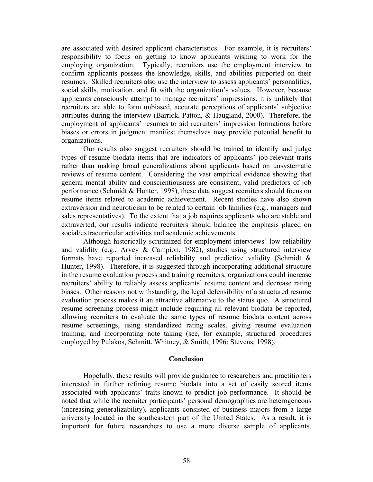are associated with desired applicant characteristics. For example, it is recruiters' responsibility to focus on getting to know applicants wishing to work for the employing organization. Typically, recruiters use the employment interview to confirm applicants possess the knowledge, skills, and abilities purported on their resumes. Skilled recruiters also use the interview to assess applicants' personalities, social skills, motivation, and fit with the organization's values. However, because applicants consciously attempt to manage recruiters' impressions, it is unlikely that recruiters are able to form unbiased, accurate perceptions of applicants' subjective attributes during the interview (Barrick, Patton, & Haugland, 2000). Therefore, the employment of applicants' resumes to aid recruiters' impression formations before biases or errors in judgment manifest themselves may provide potential benefit to organizations.

Our results also suggest recruiters should be trained to identify and judge types of resume biodata items that are indicators of applicants' job-relevant traits rather than making broad generalizations about applicants based on unsystematic reviews of resume content. Considering the vast empirical evidence showing that general mental ability and conscientiousness are consistent, valid predictors of job performance (Schmidt & Hunter, 1998), these data suggest recruiters should focus on resume items related to academic achievement. Recent studies have also shown extraversion and neuroticism to be related to certain job families (e.g., managers and sales representatives). To the extent that a job requires applicants who are stable and extraverted, our results indicate recruiters should balance the emphasis placed on social/extracurricular activities and academic achievements.

Although historically scrutinized for employment interviews' low reliability and validity (e.g., Arvey & Campion, 1982), studies using structured interview formats have reported increased reliability and predictive validity (Schmidt & Hunter, 1998). Therefore, it is suggested through incorporating additional structure in the resume evaluation process and training recruiters, organizations could increase recruiters' ability to reliably assess applicants' resume content and decrease rating biases. Other reasons not withstanding, the legal defensibility of a structured resume evaluation process makes it an attractive alternative to the status quo. A structured resume screening process might include requiring all relevant biodata be reported, allowing recruiters to evaluate the same types of resume biodata content across resume screenings, using standardized rating scales, giving resume evaluation training, and incorporating note taking (see, for example, structured procedures employed by Pulakos, Schmitt, Whitney, & Smith, 1996; Stevens, 1998).

#### **Conclusion**

Hopefully, these results will provide guidance to researchers and practitioners interested in further refining resume biodata into a set of easily scored items associated with applicants' traits known to predict job performance. It should be noted that while the recruiter participants' personal demographics are heterogeneous (increasing generalizability), applicants consisted of business majors from a large university located in the southeastern part of the United States. As a result, it is important for future researchers to use a more diverse sample of applicants.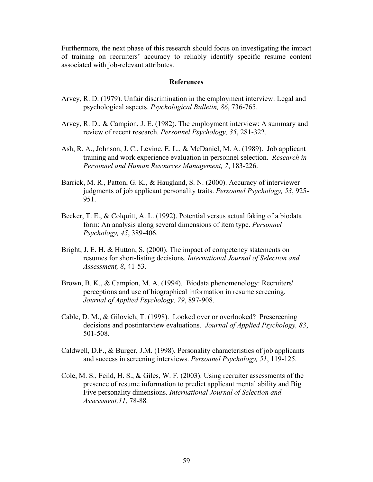Furthermore, the next phase of this research should focus on investigating the impact of training on recruiters' accuracy to reliably identify specific resume content associated with job-relevant attributes.

### **References**

- Arvey, R. D. (1979). Unfair discrimination in the employment interview: Legal and psychological aspects. *Psychological Bulletin, 86*, 736-765.
- Arvey, R. D., & Campion, J. E. (1982). The employment interview: A summary and review of recent research. *Personnel Psychology, 35*, 281-322.
- Ash, R. A., Johnson, J. C., Levine, E. L., & McDaniel, M. A. (1989). Job applicant training and work experience evaluation in personnel selection. *Research in Personnel and Human Resources Management, 7*, 183-226.
- Barrick, M. R., Patton, G. K., & Haugland, S. N. (2000). Accuracy of interviewer judgments of job applicant personality traits. *Personnel Psychology, 53*, 925- 951.
- Becker, T. E., & Colquitt, A. L. (1992). Potential versus actual faking of a biodata form: An analysis along several dimensions of item type. *Personnel Psychology, 45*, 389-406.
- Bright, J. E. H. & Hutton, S. (2000). The impact of competency statements on resumes for short-listing decisions. *International Journal of Selection and Assessment, 8*, 41-53.
- Brown, B. K., & Campion, M. A. (1994). Biodata phenomenology: Recruiters' perceptions and use of biographical information in resume screening. *Journal of Applied Psychology, 79*, 897-908.
- Cable, D. M., & Gilovich, T. (1998). Looked over or overlooked? Prescreening decisions and postinterview evaluations. *Journal of Applied Psychology, 83*, 501-508.
- Caldwell, D.F., & Burger, J.M. (1998). Personality characteristics of job applicants and success in screening interviews. *Personnel Psychology, 51*, 119-125.
- Cole, M. S., Feild, H. S., & Giles, W. F. (2003). Using recruiter assessments of the presence of resume information to predict applicant mental ability and Big Five personality dimensions. *International Journal of Selection and Assessment,11,* 78-88*.*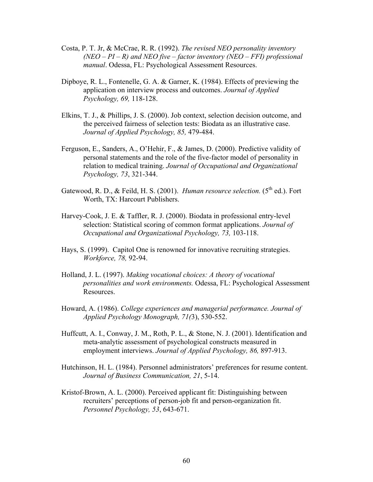- Costa, P. T. Jr, & McCrae, R. R. (1992). *The revised NEO personality inventory (NEO – PI – R) and NEO five – factor inventory (NEO – FFI) professional manual*. Odessa, FL: Psychological Assessment Resources.
- Dipboye, R. L., Fontenelle, G. A. & Garner, K. (1984). Effects of previewing the application on interview process and outcomes. *Journal of Applied Psychology, 69,* 118-128.
- Elkins, T. J., & Phillips, J. S. (2000). Job context, selection decision outcome, and the perceived fairness of selection tests: Biodata as an illustrative case. *Journal of Applied Psychology, 85,* 479-484.
- Ferguson, E., Sanders, A., O'Hehir, F., & James, D. (2000). Predictive validity of personal statements and the role of the five-factor model of personality in relation to medical training. *Journal of Occupational and Organizational Psychology, 73*, 321-344.
- Gatewood, R. D., & Feild, H. S. (2001). *Human resource selection*. (5<sup>th</sup> ed.). Fort Worth, TX: Harcourt Publishers.
- Harvey-Cook, J. E. & Taffler, R. J. (2000). Biodata in professional entry-level selection: Statistical scoring of common format applications. *Journal of Occupational and Organizational Psychology, 73,* 103-118.
- Hays, S. (1999). Capitol One is renowned for innovative recruiting strategies. *Workforce, 78,* 92-94.
- Holland, J. L. (1997). *Making vocational choices: A theory of vocational personalities and work environments.* Odessa, FL: Psychological Assessment Resources.
- Howard, A. (1986). *College experiences and managerial performance. Journal of Applied Psychology Monograph, 71(*3), 530-552.
- Huffcutt, A. I., Conway, J. M., Roth, P. L., & Stone, N. J. (2001). Identification and meta-analytic assessment of psychological constructs measured in employment interviews. *Journal of Applied Psychology, 86,* 897-913.
- Hutchinson, H. L. (1984). Personnel administrators' preferences for resume content. *Journal of Business Communication, 21*, 5-14.
- Kristof-Brown, A. L. (2000). Perceived applicant fit: Distinguishing between recruiters' perceptions of person-job fit and person-organization fit. *Personnel Psychology, 53*, 643-671.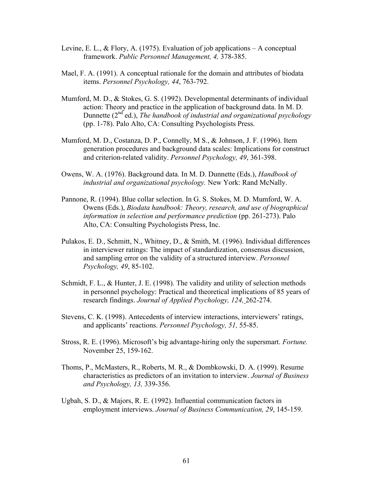- Levine, E. L., & Flory, A. (1975). Evaluation of job applications A conceptual framework. *Public Personnel Management, 4,* 378-385.
- Mael, F. A. (1991). A conceptual rationale for the domain and attributes of biodata items. *Personnel Psychology, 44*, 763-792.
- Mumford, M. D., & Stokes, G. S. (1992). Developmental determinants of individual action: Theory and practice in the application of background data. In M. D. Dunnette (2<sup>nd</sup> ed.), *The handbook of industrial and organizational psychology* (pp. 1-78). Palo Alto, CA: Consulting Psychologists Press.
- Mumford, M. D., Costanza, D. P., Connelly, M S., & Johnson, J. F. (1996). Item generation procedures and background data scales: Implications for construct and criterion-related validity. *Personnel Psychology, 49*, 361-398.
- Owens, W. A. (1976). Background data. In M. D. Dunnette (Eds.), *Handbook of industrial and organizational psychology.* New York: Rand McNally.
- Pannone, R. (1994). Blue collar selection. In G. S. Stokes, M. D. Mumford, W. A. Owens (Eds.), *Biodata handbook: Theory, research, and use of biographical information in selection and performance prediction* (pp. 261-273). Palo Alto, CA: Consulting Psychologists Press, Inc.
- Pulakos, E. D., Schmitt, N., Whitney, D., & Smith, M. (1996). Individual differences in interviewer ratings: The impact of standardization, consensus discussion, and sampling error on the validity of a structured interview. *Personnel Psychology, 49*, 85-102.
- Schmidt, F. L., & Hunter, J. E. (1998). The validity and utility of selection methods in personnel psychology: Practical and theoretical implications of 85 years of research findings. *Journal of Applied Psychology, 124,* 262-274.
- Stevens, C. K. (1998). Antecedents of interview interactions, interviewers' ratings, and applicants' reactions. *Personnel Psychology, 51,* 55-85.
- Stross, R. E. (1996). Microsoft's big advantage-hiring only the supersmart. *Fortune.* November 25, 159-162.
- Thoms, P., McMasters, R., Roberts, M. R., & Dombkowski, D. A. (1999). Resume characteristics as predictors of an invitation to interview. *Journal of Business and Psychology, 13,* 339-356.
- Ugbah, S. D., & Majors, R. E. (1992). Influential communication factors in employment interviews. *Journal of Business Communication, 29*, 145-159.